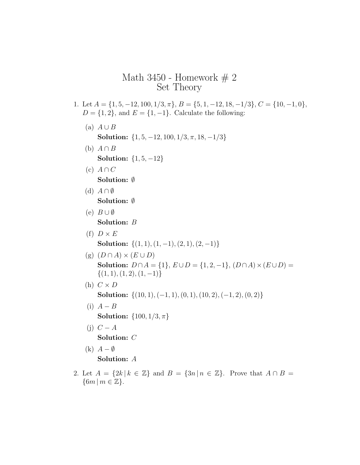# Math 3450 - Homework  $# 2$ Set Theory

- 1. Let  $A = \{1, 5, -12, 100, 1/3, \pi\}, B = \{5, 1, -12, 18, -1/3\}, C = \{10, -1, 0\},$  $D = \{1, 2\}$ , and  $E = \{1, -1\}$ . Calculate the following:
	- (a)  $A \cup B$ Solution:  $\{1, 5, -12, 100, 1/3, \pi, 18, -1/3\}$
	- (b)  $A \cap B$ Solution:  $\{1, 5, -12\}$
	- (c)  $A \cap C$ Solution: ∅
	- (d)  $A \cap \emptyset$ Solution: ∅
	- (e)  $B \cup \emptyset$ Solution: B
	- (f)  $D \times E$ Solution:  $\{(1, 1), (1, -1), (2, 1), (2, -1)\}$
	- (g)  $(D \cap A) \times (E \cup D)$ Solution:  $D \cap A = \{1\}, E \cup D = \{1, 2, -1\}, (D \cap A) \times (E \cup D) =$  $\{(1, 1), (1, 2), (1, -1)\}\$
	- (h)  $C \times D$

Solution:  $\{(10, 1), (-1, 1), (0, 1), (10, 2), (-1, 2), (0, 2)\}$ 

- (i)  $A B$ **Solution:**  $\{100, 1/3, \pi\}$
- (j)  $C A$ Solution: C
- $(k)$   $A \emptyset$ Solution: A
- 2. Let  $A = \{2k \mid k \in \mathbb{Z}\}\$  and  $B = \{3n \mid n \in \mathbb{Z}\}\$ . Prove that  $A \cap B =$  $\{6m \mid m \in \mathbb{Z}\}.$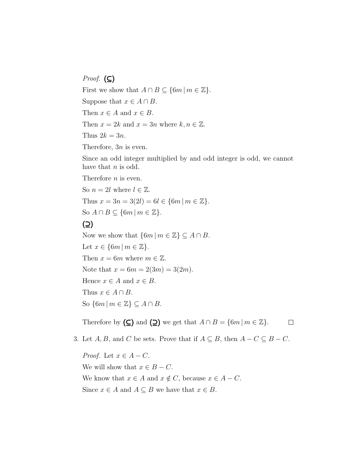*Proof.* (⊆) First we show that  $A \cap B \subseteq \{6m \mid m \in \mathbb{Z}\}.$ Suppose that  $x \in A \cap B$ . Then  $x \in A$  and  $x \in B$ . Then  $x = 2k$  and  $x = 3n$  where  $k, n \in \mathbb{Z}$ . Thus  $2k = 3n$ . Therefore, 3n is even. Since an odd integer multiplied by and odd integer is odd, we cannot

Therefore *n* is even.

have that  $n$  is odd.

So  $n = 2l$  where  $l \in \mathbb{Z}$ . Thus  $x = 3n = 3(2l) = 6l \in \{6m \mid m \in \mathbb{Z}\}.$ So  $A \cap B \subseteq \{6m \mid m \in \mathbb{Z}\}.$ 

# (⊇)

Now we show that  $\{6m \mid m \in \mathbb{Z}\}\subseteq A \cap B$ . Let  $x \in \{6m \mid m \in \mathbb{Z}\}.$ Then  $x = 6m$  where  $m \in \mathbb{Z}$ . Note that  $x = 6m = 2(3m) = 3(2m)$ . Hence  $x \in A$  and  $x \in B$ . Thus  $x \in A \cap B$ . So  $\{6m \mid m \in \mathbb{Z}\}\subseteq A\cap B$ .

Therefore by  $(\subseteq)$  and  $(\supseteq)$  we get that  $A \cap B = \{6m \mid m \in \mathbb{Z}\}.$  $\Box$ 

3. Let  $A, B$ , and C be sets. Prove that if  $A \subseteq B$ , then  $A - C \subseteq B - C$ .

*Proof.* Let  $x \in A - C$ . We will show that  $x \in B - C$ . We know that  $x \in A$  and  $x \notin C$ , because  $x \in A - C$ . Since  $x \in A$  and  $A \subseteq B$  we have that  $x \in B$ .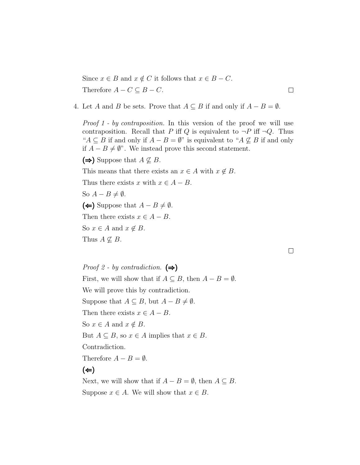Since  $x \in B$  and  $x \notin C$  it follows that  $x \in B - C$ . Therefore  $A - C \subseteq B - C$ .

4. Let A and B be sets. Prove that  $A \subseteq B$  if and only if  $A - B = \emptyset$ .

Proof 1 - by contraposition. In this version of the proof we will use contraposition. Recall that P iff Q is equivalent to  $\neg P$  iff  $\neg Q$ . Thus " $A \subseteq B$  if and only if  $A - B = \emptyset$ " is equivalent to " $A \nsubseteq B$  if and only if  $A - B ≠ \emptyset$ ". We instead prove this second statement.

(⇒) Suppose that  $A \nsubseteq B$ .

This means that there exists an  $x \in A$  with  $x \notin B$ .

Thus there exists x with  $x \in A - B$ .

So  $A - B \neq \emptyset$ .

(←) Suppose that  $A - B \neq \emptyset$ .

Then there exists  $x \in A - B$ .

So  $x \in A$  and  $x \notin B$ .

Thus  $A \nsubseteq B$ .

*Proof 2 - by contradiction.*  $(\Rightarrow)$ First, we will show that if  $A \subseteq B$ , then  $A - B = \emptyset$ . We will prove this by contradiction. Suppose that  $A \subseteq B$ , but  $A - B \neq \emptyset$ . Then there exists  $x \in A - B$ . So  $x \in A$  and  $x \notin B$ . But  $A \subseteq B$ , so  $x \in A$  implies that  $x \in B$ . Contradiction. Therefore  $A - B = \emptyset$ .  $(\Leftrightarrow)$ 

Next, we will show that if  $A - B = \emptyset$ , then  $A \subseteq B$ . Suppose  $x \in A$ . We will show that  $x \in B$ .

 $\Box$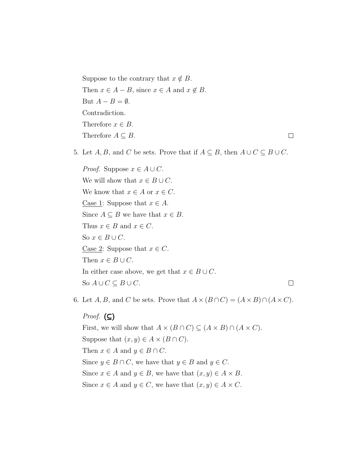Suppose to the contrary that  $x \notin B$ . Then  $x \in A - B$ , since  $x \in A$  and  $x \notin B$ . But  $A - B = \emptyset$ . Contradiction. Therefore  $x \in B$ . Therefore  $A \subseteq B$ .  $\Box$ 

5. Let  $A, B$ , and C be sets. Prove that if  $A \subseteq B$ , then  $A \cup C \subseteq B \cup C$ .

*Proof.* Suppose  $x \in A \cup C$ . We will show that  $x \in B \cup C$ . We know that  $x \in A$  or  $x \in C$ . Case 1: Suppose that  $x \in A$ . Since  $A \subseteq B$  we have that  $x \in B$ . Thus  $x \in B$  and  $x \in C$ . So  $x \in B \cup C$ . Case 2: Suppose that  $x \in C$ . Then  $x \in B \cup C$ . In either case above, we get that  $x \in B \cup C$ .  $\Box$ So  $A \cup C \subseteq B \cup C$ .

6. Let  $A, B$ , and C be sets. Prove that  $A \times (B \cap C) = (A \times B) \cap (A \times C)$ .

*Proof.*  $(\subseteq)$ First, we will show that  $A \times (B \cap C) \subseteq (A \times B) \cap (A \times C)$ . Suppose that  $(x, y) \in A \times (B \cap C)$ . Then  $x \in A$  and  $y \in B \cap C$ .

Since  $y \in B \cap C$ , we have that  $y \in B$  and  $y \in C$ .

Since  $x \in A$  and  $y \in B$ , we have that  $(x, y) \in A \times B$ . Since  $x \in A$  and  $y \in C$ , we have that  $(x, y) \in A \times C$ .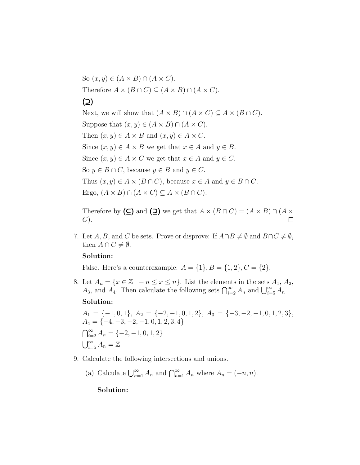So  $(x, y) \in (A \times B) \cap (A \times C)$ . Therefore  $A \times (B \cap C) \subseteq (A \times B) \cap (A \times C)$ . (⊇) Next, we will show that  $(A \times B) \cap (A \times C) \subseteq A \times (B \cap C)$ . Suppose that  $(x, y) \in (A \times B) \cap (A \times C)$ . Then  $(x, y) \in A \times B$  and  $(x, y) \in A \times C$ . Since  $(x, y) \in A \times B$  we get that  $x \in A$  and  $y \in B$ . Since  $(x, y) \in A \times C$  we get that  $x \in A$  and  $y \in C$ . So  $y \in B \cap C$ , because  $y \in B$  and  $y \in C$ . Thus  $(x, y) \in A \times (B \cap C)$ , because  $x \in A$  and  $y \in B \cap C$ . Ergo,  $(A \times B) \cap (A \times C) \subseteq A \times (B \cap C)$ .

Therefore by  $(\subseteq)$  and  $(\supseteq)$  we get that  $A \times (B \cap C) = (A \times B) \cap (A \times C)$  $C$ ).  $\Box$ 

7. Let A, B, and C be sets. Prove or disprove: If  $A \cap B \neq \emptyset$  and  $B \cap C \neq \emptyset$ , then  $A \cap C \neq \emptyset$ .

### Solution:

False. Here's a counterexample:  $A = \{1\}, B = \{1, 2\}, C = \{2\}.$ 

8. Let  $A_n = \{x \in \mathbb{Z} \mid -n \leq x \leq n\}$ . List the elements in the sets  $A_1, A_2,$  $A_3$ , and  $A_4$ . Then calculate the following sets  $\bigcap_{i=2}^{\infty} A_n$  and  $\bigcup_{i=5}^{\infty} A_n$ . Solution:

 $A_1 = \{-1, 0, 1\}, A_2 = \{-2, -1, 0, 1, 2\}, A_3 = \{-3, -2, -1, 0, 1, 2, 3\},$  $A_4 = \{-4, -3, -2, -1, 0, 1, 2, 3, 4\}$  $\bigcap_{i=2}^{\infty} A_n = \{-2, -1, 0, 1, 2\}$  $\bigcup_{i=5}^{\infty} A_n = \mathbb{Z}$ 

- 9. Calculate the following intersections and unions.
	- (a) Calculate  $\bigcup_{n=1}^{\infty} A_n$  and  $\bigcap_{n=1}^{\infty} A_n$  where  $A_n = (-n, n)$ .

### Solution: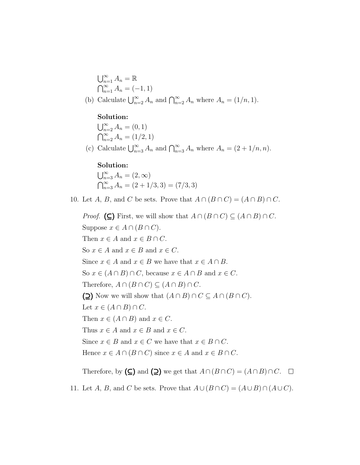$$
\bigcup_{n=1}^{\infty} A_n = \mathbb{R}
$$
  

$$
\bigcap_{n=1}^{\infty} A_n = (-1, 1)
$$
  
(b) Calculate 
$$
\bigcup_{n=2}^{\infty} A_n
$$
 and 
$$
\bigcap_{n=2}^{\infty} A_n
$$
 where  $A_n = (1/n, 1)$ .

## Solution:

 $\bigcup_{n=2}^{\infty} A_n = (0,1)$  $\bigcap_{n=2}^{\infty} A_n = (1/2, 1)$ 

(c) Calculate  $\bigcup_{n=3}^{\infty} A_n$  and  $\bigcap_{n=3}^{\infty} A_n$  where  $A_n = (2 + 1/n, n)$ .

## Solution:

 $\bigcup_{n=3}^{\infty} A_n = (2, \infty)$  $\bigcap_{n=3}^{\infty} A_n = (2 + 1/3, 3) = (7/3, 3)$ 

10. Let A, B, and C be sets. Prove that  $A \cap (B \cap C) = (A \cap B) \cap C$ .

*Proof.* (⊆) First, we will show that  $A \cap (B \cap C) \subseteq (A \cap B) \cap C$ . Suppose  $x \in A \cap (B \cap C)$ . Then  $x \in A$  and  $x \in B \cap C$ . So  $x \in A$  and  $x \in B$  and  $x \in C$ . Since  $x \in A$  and  $x \in B$  we have that  $x \in A \cap B$ . So  $x \in (A \cap B) \cap C$ , because  $x \in A \cap B$  and  $x \in C$ . Therefore,  $A \cap (B \cap C) \subseteq (A \cap B) \cap C$ . (⊇) Now we will show that  $(A \cap B) \cap C \subseteq A \cap (B \cap C)$ . Let  $x \in (A \cap B) \cap C$ . Then  $x \in (A \cap B)$  and  $x \in C$ . Thus  $x \in A$  and  $x \in B$  and  $x \in C$ . Since  $x \in B$  and  $x \in C$  we have that  $x \in B \cap C$ . Hence  $x \in A \cap (B \cap C)$  since  $x \in A$  and  $x \in B \cap C$ . Therefore, by  $(\subseteq)$  and  $(\supseteq)$  we get that  $A \cap (B \cap C) = (A \cap B) \cap C$ .  $\Box$ 

11. Let A, B, and C be sets. Prove that  $A \cup (B \cap C) = (A \cup B) \cap (A \cup C)$ .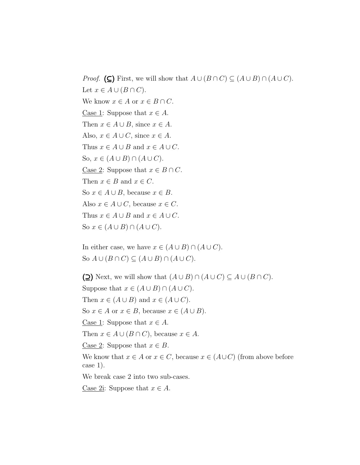*Proof.* (⊆) First, we will show that  $A \cup (B \cap C) \subseteq (A \cup B) \cap (A \cup C)$ . Let  $x \in A \cup (B \cap C)$ . We know  $x \in A$  or  $x \in B \cap C$ . Case 1: Suppose that  $x \in A$ . Then  $x \in A \cup B$ , since  $x \in A$ . Also,  $x \in A \cup C$ , since  $x \in A$ . Thus  $x \in A \cup B$  and  $x \in A \cup C$ . So,  $x \in (A \cup B) \cap (A \cup C)$ . Case 2: Suppose that  $x \in B \cap C$ . Then  $x \in B$  and  $x \in C$ . So  $x \in A \cup B$ , because  $x \in B$ . Also  $x \in A \cup C$ , because  $x \in C$ . Thus  $x \in A \cup B$  and  $x \in A \cup C$ . So  $x \in (A \cup B) \cap (A \cup C)$ .

In either case, we have  $x \in (A \cup B) \cap (A \cup C)$ . So  $A \cup (B \cap C) \subseteq (A \cup B) \cap (A \cup C)$ .

(⊇) Next, we will show that  $(A \cup B) \cap (A \cup C) \subseteq A \cup (B \cap C)$ . Suppose that  $x \in (A \cup B) \cap (A \cup C)$ . Then  $x \in (A \cup B)$  and  $x \in (A \cup C)$ . So  $x \in A$  or  $x \in B$ , because  $x \in (A \cup B)$ . Case 1: Suppose that  $x \in A$ . Then  $x \in A \cup (B \cap C)$ , because  $x \in A$ . Case 2: Suppose that  $x \in B$ . We know that  $x \in A$  or  $x \in C$ , because  $x \in (A \cup C)$  (from above before case 1). We break case 2 into two sub-cases. Case 2i: Suppose that  $x \in A$ .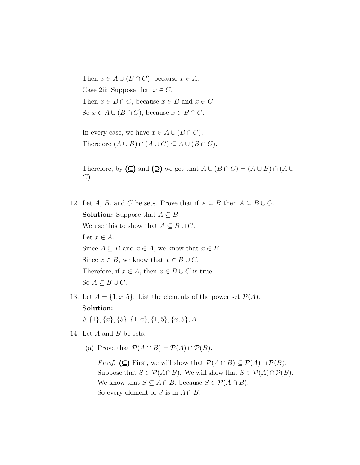Then  $x \in A \cup (B \cap C)$ , because  $x \in A$ . Case 2ii: Suppose that  $x \in C$ . Then  $x \in B \cap C$ , because  $x \in B$  and  $x \in C$ . So  $x \in A \cup (B \cap C)$ , because  $x \in B \cap C$ .

In every case, we have  $x \in A \cup (B \cap C)$ . Therefore  $(A \cup B) \cap (A \cup C) \subseteq A \cup (B \cap C)$ .

Therefore, by  $(\subseteq)$  and  $(\supseteq)$  we get that  $A \cup (B \cap C) = (A \cup B) \cap (A \cup C)$ C)  $\Box$ 

- 12. Let A, B, and C be sets. Prove that if  $A \subseteq B$  then  $A \subseteq B \cup C$ . **Solution:** Suppose that  $A \subseteq B$ . We use this to show that  $A \subseteq B \cup C$ . Let  $x \in A$ . Since  $A \subseteq B$  and  $x \in A$ , we know that  $x \in B$ . Since  $x \in B$ , we know that  $x \in B \cup C$ . Therefore, if  $x \in A$ , then  $x \in B \cup C$  is true. So  $A \subseteq B \cup C$ .
- 13. Let  $A = \{1, x, 5\}$ . List the elements of the power set  $\mathcal{P}(A)$ . Solution:  $\emptyset$ ,  $\{1\}$ ,  $\{x\}$ ,  $\{5\}$ ,  $\{1, x\}$ ,  $\{1, 5\}$ ,  $\{x, 5\}$ , A
- 14. Let  $A$  and  $B$  be sets.
	- (a) Prove that  $\mathcal{P}(A \cap B) = \mathcal{P}(A) \cap \mathcal{P}(B)$ .

*Proof.* (⊆) First, we will show that  $P(A \cap B) \subseteq P(A) \cap P(B)$ . Suppose that  $S \in \mathcal{P}(A \cap B)$ . We will show that  $S \in \mathcal{P}(A) \cap \mathcal{P}(B)$ . We know that  $S \subseteq A \cap B$ , because  $S \in \mathcal{P}(A \cap B)$ . So every element of S is in  $A \cap B$ .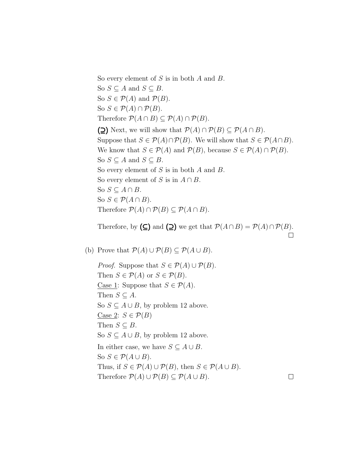So every element of  $S$  is in both  $A$  and  $B$ . So  $S \subseteq A$  and  $S \subseteq B$ . So  $S \in \mathcal{P}(A)$  and  $\mathcal{P}(B)$ . So  $S \in \mathcal{P}(A) \cap \mathcal{P}(B)$ . Therefore  $P(A \cap B) \subseteq P(A) \cap P(B)$ . (⊇) Next, we will show that  $P(A) \cap P(B) \subseteq P(A \cap B)$ . Suppose that  $S \in \mathcal{P}(A) \cap \mathcal{P}(B)$ . We will show that  $S \in \mathcal{P}(A \cap B)$ . We know that  $S \in \mathcal{P}(A)$  and  $\mathcal{P}(B)$ , because  $S \in \mathcal{P}(A) \cap \mathcal{P}(B)$ . So  $S \subseteq A$  and  $S \subseteq B$ . So every element of  $S$  is in both  $A$  and  $B$ . So every element of S is in  $A \cap B$ . So  $S \subseteq A \cap B$ . So  $S \in \mathcal{P}(A \cap B)$ . Therefore  $P(A) \cap P(B) \subseteq P(A \cap B)$ .

Therefore, by  $(\subseteq)$  and  $(\supseteq)$  we get that  $\mathcal{P}(A \cap B) = \mathcal{P}(A) \cap \mathcal{P}(B)$ .  $\Box$ 

(b) Prove that  $\mathcal{P}(A) \cup \mathcal{P}(B) \subseteq \mathcal{P}(A \cup B)$ .

*Proof.* Suppose that  $S \in \mathcal{P}(A) \cup \mathcal{P}(B)$ . Then  $S \in \mathcal{P}(A)$  or  $S \in \mathcal{P}(B)$ . Case 1: Suppose that  $S \in \mathcal{P}(A)$ . Then  $S \subseteq A$ . So  $S \subseteq A \cup B$ , by problem 12 above. Case 2:  $S \in \mathcal{P}(B)$ Then  $S \subseteq B$ . So  $S \subseteq A \cup B$ , by problem 12 above. In either case, we have  $S \subseteq A \cup B$ . So  $S \in \mathcal{P}(A \cup B)$ . Thus, if  $S \in \mathcal{P}(A) \cup \mathcal{P}(B)$ , then  $S \in \mathcal{P}(A \cup B)$ . Therefore  $P(A) \cup P(B) \subseteq P(A \cup B)$ .

 $\Box$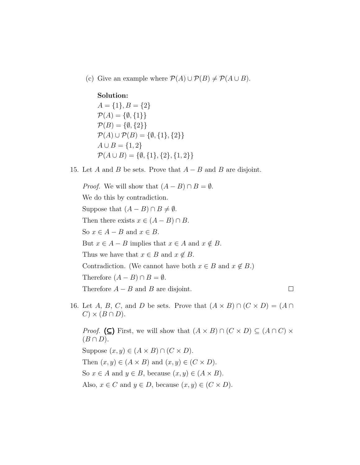(c) Give an example where  $\mathcal{P}(A) \cup \mathcal{P}(B) \neq \mathcal{P}(A \cup B)$ .

#### Solution:

 $A = \{1\}, B = \{2\}$  $\mathcal{P}(A) = \{\emptyset, \{1\}\}\$  $\mathcal{P}(B) = \{ \emptyset, \{2\} \}$  $\mathcal{P}(A) \cup \mathcal{P}(B) = \{\emptyset, \{1\}, \{2\}\}\$  $A \cup B = \{1, 2\}$  $\mathcal{P}(A \cup B) = \{\emptyset, \{1\}, \{2\}, \{1, 2\}\}\$ 

15. Let A and B be sets. Prove that  $A - B$  and B are disjoint.

*Proof.* We will show that  $(A - B) \cap B = \emptyset$ . We do this by contradiction. Suppose that  $(A - B) \cap B \neq \emptyset$ . Then there exists  $x \in (A - B) \cap B$ . So  $x \in A - B$  and  $x \in B$ . But  $x \in A - B$  implies that  $x \in A$  and  $x \notin B$ . Thus we have that  $x \in B$  and  $x \notin B$ . Contradiction. (We cannot have both  $x \in B$  and  $x \notin B$ .) Therefore  $(A - B) \cap B = \emptyset$ . Therefore  $A - B$  and B are disjoint.  $\Box$ 

16. Let A, B, C, and D be sets. Prove that  $(A \times B) \cap (C \times D) = (A \cap$  $C$ ) ×  $(B \cap D)$ .

*Proof.* (⊆) First, we will show that  $(A \times B) \cap (C \times D) \subseteq (A \cap C) \times$  $(B \cap D)$ . Suppose  $(x, y) \in (A \times B) \cap (C \times D)$ . Then  $(x, y) \in (A \times B)$  and  $(x, y) \in (C \times D)$ . So  $x \in A$  and  $y \in B$ , because  $(x, y) \in (A \times B)$ . Also,  $x \in C$  and  $y \in D$ , because  $(x, y) \in (C \times D)$ .